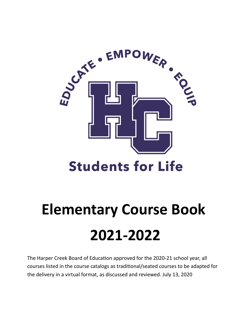

## **Students for Life**

# **Elementary Course Book 2021-2022**

The Harper Creek Board of Education approved for the 2020-21 school year, all courses listed in the course catalogs as traditional/seated courses to be adapted for the delivery in a virtual format, as discussed and reviewed. July 13, 2020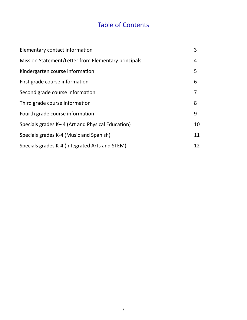## Table of Contents

| Elementary contact information                      | 3  |
|-----------------------------------------------------|----|
| Mission Statement/Letter from Elementary principals | 4  |
| Kindergarten course information                     | 5  |
| First grade course information                      | 6  |
| Second grade course information                     | 7  |
| Third grade course information                      | 8  |
| Fourth grade course information                     | 9  |
| Specials grades K-4 (Art and Physical Education)    | 10 |
| Specials grades K-4 (Music and Spanish)             | 11 |
| Specials grades K-4 (Integrated Arts and STEM)      | 12 |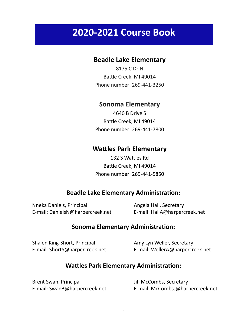## **2020-2021 Course Book**

#### **Beadle Lake Elementary**

8175 C Dr N Battle Creek, MI 49014 Phone number: 269-441-3250

#### **Sonoma Elementary**

4640 B Drive S Battle Creek, MI 49014 Phone number: 269-441-7800

#### **Wattles Park Elementary**

132 S Wattles Rd Battle Creek, MI 49014 Phone number: 269-441-5850

#### **Beadle Lake Elementary Administration:**

Nneka Daniels, Principal Angela Hall, Secretary E-mail: DanielsN@harpercreek.net E-mail: HallA@harpercreek.net

#### **Sonoma Elementary Administration:**

Shalen King-Short, Principal **Amy Lyn Weller, Secretary** 

E-mail: ShortS@harpercreek.net E-mail: WellerA@harpercreek.net

#### **Wattles Park Elementary Administration:**

| Brent Swan, Principal         | Jill McCombs, Secretary          |
|-------------------------------|----------------------------------|
| E-mail: SwanB@harpercreek.net | E-mail: McCombsJ@harpercreek.net |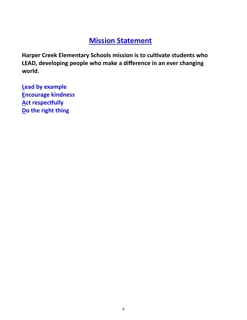## **Mission Statement**

**Harper Creek Elementary Schools mission is to cultivate students who LEAD, developing people who make a difference in an ever changing world.**

**Lead by example Encourage kindness Act respectfully Do the right thing**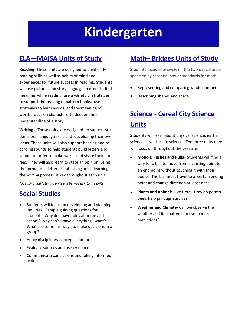## **Kindergarten**

## **ELA—MAISA Units of Study**

**Reading-** These units are designed to build early reading skills as well as habits of mind and experiences for future success in reading.. Students will use pictures and story language in order to find meaning while reading, use a variety of strategies to support the reading of pattern books, use strategies to learn words and the meaning of words, focus on characters to deepen their understanding of a story.

**Writing-** These units are designed to support students oral language skills and developing their own ideas. These units will also support hearing and recording sounds to help students build letters and sounds in order to make words and share their stories. They will also learn to state an opinion using the format of a letter. Establishing and learning the writing process is key throughout each unit.

*\*Speaking and listening units will be woven into the units*

### **Social Studies**

- Students will focus on developing and planning inquiries. Sample guiding questions for students: Why do I have rules at home and school? Why can't I have everything I want? What are some fair ways to make decisions in a group?
- Apply disciplinary concepts and tools
- Evaluate sources and use evidence
- Communicate conclusions and taking informed action.

### **Math– Bridges Units of Study**

Students focus intensively on the two critical areas specified by essential power standards for math:

- Representing and comparing whole numbers
- Describing shapes and space

## **Science - Cereal City Science Units**

- **Motion: Pushes and Pulls–** Students will find a way for a ball to move from a starting point to an end point without touching it with their bodies. The ball must travel to a certain ending point and change direction at least once.
- **Plants and Animals Live Here–** How do potato peels help pill bugs survive?
- **Weather and Climate-** Can we observe the weather and find patterns to use to make predictions?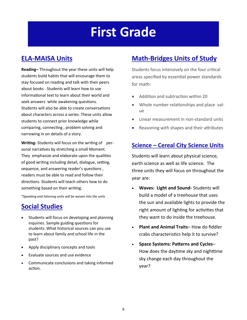## **First Grade**

### **ELA-MAISA Units**

**Reading–** Throughout the year these units will help students build habits that will encourage them to stay focused on reading and talk with their peers about books . Students will learn how to use informational text to learn about their world and seek answers while awakening questions. Students will also be able to create conversations about characters across a series. These units allow students to connect prior knowledge while comparing, connecting , problem solving and narrowing in on details of a story.

**Writing-** Students will focus on the writing of personal narratives by stretching a small Moment. They emphasize and elaborate upon the qualities of good writing including detail, dialogue, setting, sequence, and answering reader's questions , readers must be able to read and follow their directions. Students will teach others how to do something based on their writing.

*\*Speaking and listening units will be woven into the units*

### **Social Studies**

- Students will focus on developing and planning inquiries. Sample guiding questions for students: What historical sources can you use to learn about family and school life in the past?
- Apply disciplinary concepts and tools
- Evaluate sources and use evidence
- Communicate conclusions and taking informed action.

### **Math-Bridges Units of Study**

Students focus intensively on the four critical areas specified by essential power standards for math:

- Addition and subtraction within 20
- Whole number relationships and place value
- Linear measurement in non-standard units
- Reasoning with shapes and their attributes

#### **Science – Cereal City Science Units**

- **Waves: Light and Sound-** Students will build a model of a treehouse that uses the sun and available lights to provide the right amount of lighting for activities that they want to do inside the treehouse.
- **Plant and Animal Traits** How do fiddler crabs characteristics help it to survive?
- **Space Systems: Patterns and Cycles** How does the daytime sky and nighttime sky change each day throughout the year?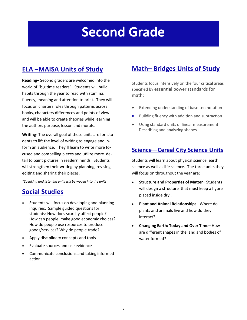## **Second Grade**

## **ELA –MAISA Units of Study**

**Reading–** Second graders are welcomed into the world of "big time readers" . Students will build habits through the year to read with stamina, fluency, meaning and attention to print. They will focus on charters roles through patterns across books, characters differences and points of view and will be able to create theories while learning the authors purpose, lesson and morals.

**Writing-** The overall goal of these units are for students to lift the level of writing to engage and inform an audience. They'll learn to write more focused and compelling pieces and utilize more detail to paint pictures in readers' minds. Students will strengthen their writing by planning, revising, editing and sharing their pieces.

*\*Speaking and listening units will be woven into the units*

### **Social Studies**

- Students will focus on developing and planning inquiries. Sample guided questions for students: How does scarcity affect people? How can people make good economic choices? How do people use resources to produce goods/services? Why do people trade?
- Apply disciplinary concepts and tools
- Evaluate sources and use evidence
- Communicate conclusions and taking informed action.

### **Math– Bridges Units of Study**

Students focus intensively on the four critical areas specified by essential power standards for math:

- Extending understanding of base-ten notation
- Building fluency with addition and subtraction
- Using standard units of linear measurement Describing and analyzing shapes

#### **Science—Cereal City Science Units**

- **Structure and Properties of Matter** Students will design a structure that must keep a figure placed inside dry .
- **Plant and Animal Relationships** Where do plants and animals live and how do they interact?
- **Changing Earth: Today and Over Time** How are different shapes in the land and bodies of water formed?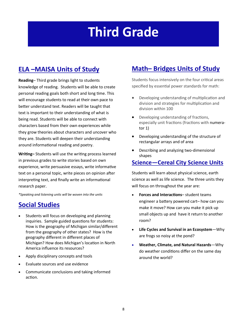## **Third Grade**

## **ELA –MAISA Units of Study**

**Reading**– Third grade brings light to students knowledge of reading. Students will be able to create personal reading goals both short and long time. This will encourage students to read at their own pace to better understand text. Readers will be taught that text is important to their understanding of what is being read. Students will be able to connect with characters based from their own experiences while they grow theories about characters and uncover who they are. Students will deepen their understanding around informational reading and poetry.

**Writing–** Students will use the writing process learned in previous grades to write stories based on own experience, write persuasive essays, write informative text on a personal topic, write pieces on opinion after interpreting text, and finally write an informational research paper.

*\*Speaking and listening units will be woven into the units*

#### **Social Studies**

- Students will focus on developing and planning inquiries. Sample guided questions for students: How is the geography of Michigan similar/different from the geography of other states? How is the geography different in different places of Michigan? How does Michigan's location in North America influence its resources?
- Apply disciplinary concepts and tools
- Evaluate sources and use evidence
- Communicate conclusions and taking informed action.

### **Math– Bridges Units of Study**

Students focus intensively on the four critical areas specified by essential power standards for math:

- Developing understanding of multiplication and division and strategies for multiplication and division within 100
- Developing understanding of fractions, especially unit fractions (fractions with numerator 1)
- Developing understanding of the structure of rectangular arrays and of area
- Describing and analyzing two-dimensional shapes

#### **Science—Cereal City Science Units**

- **Forces and Interactions** student teams engineer a battery powered cart– how can you make it move? How can you make it pick up small objects up and have it return to another room?
- **Life Cycles and Survival in an Ecosystem**—Why are frogs so noisy at the pond?
- **Weather, Climate, and Natural Hazards**—Why do weather conditions differ on the same day around the world?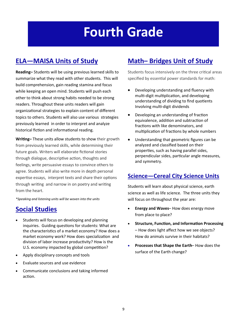## **Fourth Grade**

## **ELA—MAISA Units of Study**

**Reading–** Students will be using previous learned skills to summarize what they read with other students. This will build comprehension, gain reading stamina and focus while keeping an open mind. Students will push each other to think about strong habits needed to be strong readers. Throughout these units readers will gain organizational strategies to explain content of different topics to others. Students will also use various strategies previously learned in order to interpret and analyze historical fiction and informational reading.

**Writing–** These units allow students to show their growth from previously learned skills, while determining their future goals. Writers will elaborate fictional stories through dialogue, descriptive action, thoughts and feelings, write persuasive essays to convince others to agree. Students will also write more in depth personal expertise essays, interpret texts and share their options through writing and narrow in on poetry and writing from the heart.

*\*Speaking and listening units will be woven into the units*

#### **Social Studies**

- Students will focus on developing and planning inquiries. Guiding questions for students: What are the characteristics of a market economy? How does a market economy work? How does specialization and division of labor increase productivity? How is the U.S. economy impacted by global competition?
- Apply disciplinary concepts and tools
- Evaluate sources and use evidence
- Communicate conclusions and taking informed action.

### **Math– Bridges Unit of Study**

Students focus intensively on the three critical areas specified by essential power standards for math:

- Developing understanding and fluency with multi-digit multiplication, and developing understanding of dividing to find quotients Involving multi-digit dividends
- Developing an understanding of fraction equivalence, addition and subtraction of fractions with like denominators, and multiplication of fractions by whole numbers
- Understanding that geometric figures can be analyzed and classified based on their properties, such as having parallel sides, perpendicular sides, particular angle measures, and symmetry.

#### **Science—Cereal City Science Units**

- **Energy and Waves** How does energy move from place to place?
- **Structure, Function, and Information Processing** – How does light affect how we see objects? How do animals survive in their habitats?
- **Processes that Shape the Earth** How does the surface of the Earth change?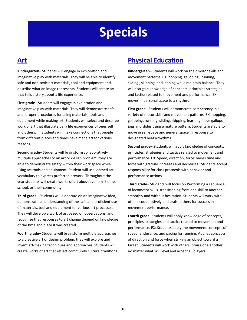## **Specials**

### **Art**

**Kindergarten**– Students will engage in exploration and imaginative play with materials. They will be able to identify safe and non-toxic art materials, tool and equipment and describe what an image represents. Students will create art that tells a story about a life experience.

**First grade**– Students will engage in exploration and imaginative play with materials. They will demonstrate safe and proper procedures for using materials, tools and equipment while making art. Students will select and describe work of art that illustrate daily life experiences of ones self and others. Students will make connections that people from different places and times have made art for various reasons.

**Second grade**– Students will brainstorm collaboratively multiple approaches to an art or design problem, they are able to demonstrate safety within their work space while using art tools and equipment. Student will use learned art vocabulary to express preferred artwork. Throughout the year students will create works of art about events in home, school, or their community.

**Third grade**– Students will elaborate on an imaginative idea, demonstrate an understanding of the safe and proficient use of materials, tool and equipment for various art processes. They will develop a work of art based on observations and recognize that responses to art change depend on knowledge of the time and place it was created.

**Fourth grade**– Students will brainstorm multiple approaches to a creative art or design problem, they will explore and invent art-making techniques and approaches. Students will create works of art that reflect community cultural traditions.

### **Physical Education**

**Kindergarten**– Students will work on their motor skills and movement patterns. EX: hopping, galloping , running, sliding , skipping, and leaping while maintain balance. They will also gain knowledge of concepts, principles strategies and tactics related to movement and performance. EX: moves in personal space to a rhythm.

**First grade**– Students will demonstrate competency in a variety of motor skills and movement patterns. EX: hopping, galloping, running, sliding, skipping, learning: hops gallops jogs and slides using a mature pattern. Students are able to move in self-space and general space in response to designated beats/rhythms.

**Second grade**– Students will apply knowledge of concepts, principles, strategies and tactics related to movement and performance. EX: Speed, direction, force: varies time and force with gradual increases and decreases. Students accept responsibility for class protocols with behavior and performance actions.

**Third grade**– Students will focus on Performing a sequence of locomotor skills, transitioning from one skill to another smoothly and without hesitation. Students will work with others cooperatively and praise others for success in movement performance.

**Fourth grade**- Students will apply knowledge of concepts, principles, strategies and tactics related to movement and performance. EX: Students apply the movement concepts of speed, endurance, and pacing for running. Applies concepts of direction and force when striking an object toward a target. Students will work with others, praise one another no matter what skill level and accept all players.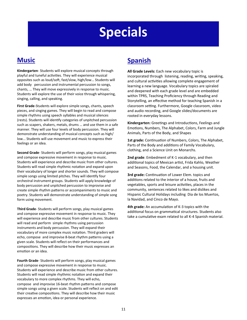## **Specials**

### **Music**

**Kindergarten**- Students will explore musical concepts through playful and tuneful activities. They will experience musical opposites such as loud/soft, fast/slow, high/low… Students will add body percussion and instrumental percussion to songs, chants, … They will move expressively in response to music. Students will explore the use of their voice through whispering, singing, calling, and speaking.

**First Grade**-Students will explore simple songs, chants, speech pieces, and singing games. They will begin to read and compose simple rhythms using speech syllables and musical silences (rests). Students will identify categories of unpitched percussion such as scapers, shakers, metals, drums … and use them in a safe manner. They will use four levels of body percussion. They will demonstrate understanding of musical concepts such as high/ low... Students will use movement and music to express their feelings or an idea.

**Second Grade**- Students will perform songs, play musical games and compose expressive movement in response to music. Students will experience and describe music from other cultures. Students will read simple rhythmic notation and expand upon their vocabulary of longer and shorter sounds. They will compose simple songs using limited pitches. They will identify four orchestral instrument groups. Students will apply knowledge of body percussion and unpitched percussion to improvise and create simple rhythm patterns or accompaniments to music and poetry. Students will demonstrate understanding of simple song form using movement.

**Third Grade**- Students will perform songs, play musical games and compose expressive movement in response to music. They will experience and describe music from other cultures. Students will read and perform simple rhythms using percussion instruments and body percussion. They will expand their vocabulary of more complex music notation. Third graders will echo, compose and improvise 8-beat rhythm patterns using a given scale. Students will reflect on their performances and compositions. They will describe how their music expresses an emotion or an idea.

**Fourth Grade**- Students will perform songs, play musical games and compose expressive movement in response to music. Students will experience and describe music from other cultures. Students will read simple rhythmic notation and expand their vocabulary to more complex rhythms. They will echo, compose and improvise 16-beat rhythm patterns and compose simple songs using a given scale. Students will reflect on and edit their creative compositions. They will describe how their music expresses an emotion, idea or personal experience.

### **Spanish**

**All Grade Levels:** Each new vocabulary topic is incorporated through listening, reading, writing, speaking, and cultural activities allowing complete engagement of learning a new language. Vocabulary topics are spiraled and deepened with each grade level and are embedded within TPRS, Teaching Proficiency through Reading and Storytelling, an effective method for teaching Spanish in a classroom setting. Furthermore, Google classroom, video and audio recording, and Google slides/documents are rooted in everyday lessons.

**Kindergarten:** Greetings and Introductions, Feelings and Emotions, Numbers, The Alphabet, Colors, Farm and Jungle Animals, Parts of the Body, and Shapes

**1st grade:** Continuation of Numbers, Colors, The Alphabet, Parts of the Body and additions of Family Vocabulary, clothing, and a Science Unit on Monarchs.

**2nd grade**: Embedment of K-1 vocabulary, and then additional topics of Mexican artist, Frida Kahlo, Weather and Seasons, Food, the Calendar, and a housing unit.

**3rd grade:** Continuation of Lower Elem. topics and additions related to the interior of a house, fruits and vegetables, sports and leisure activities, places in the community, sentences related to likes and dislikes and Hispanic Cultural Holidays including Dia de los Muertos, la Navidad, and Cinco de Mayo.

**4th grade:** An accumulation of K-3 topics with the additional focus on grammatical structures. Students also take a cumulative exam related to all K-4 Spanish material.